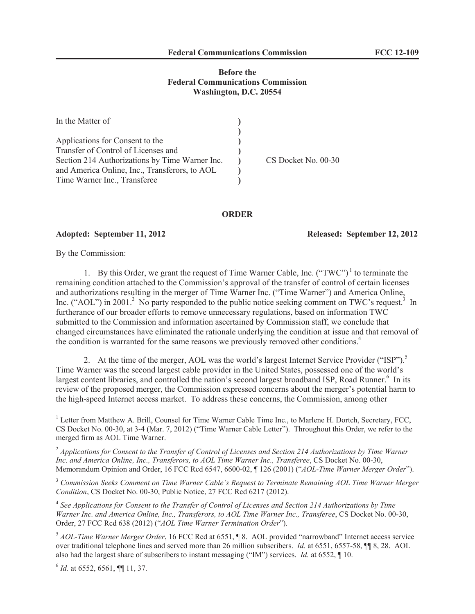# **Before the Federal Communications Commission Washington, D.C. 20554**

| In the Matter of                               |                     |
|------------------------------------------------|---------------------|
|                                                |                     |
| Applications for Consent to the                |                     |
| Transfer of Control of Licenses and            |                     |
| Section 214 Authorizations by Time Warner Inc. | CS Docket No. 00-30 |
| and America Online, Inc., Transferors, to AOL  |                     |
| Time Warner Inc., Transferee                   |                     |

## **ORDER**

### **Adopted: September 11, 2012 Released: September 12, 2012**

By the Commission:

1. By this Order, we grant the request of Time Warner Cable, Inc.  $("TWC")^1$  to terminate the remaining condition attached to the Commission's approval of the transfer of control of certain licenses and authorizations resulting in the merger of Time Warner Inc. ("Time Warner") and America Online, Inc. ("AOL") in 2001.<sup>2</sup> No party responded to the public notice seeking comment on TWC's request.<sup>3</sup> In furtherance of our broader efforts to remove unnecessary regulations, based on information TWC submitted to the Commission and information ascertained by Commission staff, we conclude that changed circumstances have eliminated the rationale underlying the condition at issue and that removal of the condition is warranted for the same reasons we previously removed other conditions.<sup>4</sup>

2. At the time of the merger, AOL was the world's largest Internet Service Provider ("ISP").<sup>5</sup> Time Warner was the second largest cable provider in the United States, possessed one of the world's largest content libraries, and controlled the nation's second largest broadband ISP, Road Runner.<sup>6</sup> In its review of the proposed merger, the Commission expressed concerns about the merger's potential harm to the high-speed Internet access market. To address these concerns, the Commission, among other

<sup>3</sup> *Commission Seeks Comment on Time Warner Cable's Request to Terminate Remaining AOL Time Warner Merger Condition*, CS Docket No. 00-30, Public Notice, 27 FCC Rcd 6217 (2012).

<sup>4</sup> See Applications for Consent to the Transfer of Control of Licenses and Section 214 Authorizations by Time *Warner Inc. and America Online, Inc., Transferors, to AOL Time Warner Inc., Transferee*, CS Docket No. 00-30, Order, 27 FCC Rcd 638 (2012) ("*AOL Time Warner Termination Order*").

<sup>5</sup> *AOL-Time Warner Merger Order*, 16 FCC Rcd at 6551, ¶ 8. AOL provided "narrowband" Internet access service over traditional telephone lines and served more than 26 million subscribers. *Id.* at 6551, 6557-58, ¶¶ 8, 28. AOL also had the largest share of subscribers to instant messaging ("IM") services. *Id.* at 6552, ¶ 10.

6 *Id.* at 6552, 6561, ¶¶ 11, 37.

<sup>&</sup>lt;sup>1</sup> Letter from Matthew A. Brill, Counsel for Time Warner Cable Time Inc., to Marlene H. Dortch, Secretary, FCC, CS Docket No. 00-30, at 3-4 (Mar. 7, 2012) ("Time Warner Cable Letter"). Throughout this Order, we refer to the merged firm as AOL Time Warner.

<sup>2</sup> *Applications for Consent to the Transfer of Control of Licenses and Section 214 Authorizations by Time Warner Inc. and America Online, Inc., Transferors, to AOL Time Warner Inc., Transferee*, CS Docket No. 00-30, Memorandum Opinion and Order, 16 FCC Rcd 6547, 6600-02, ¶ 126 (2001) ("*AOL-Time Warner Merger Order*").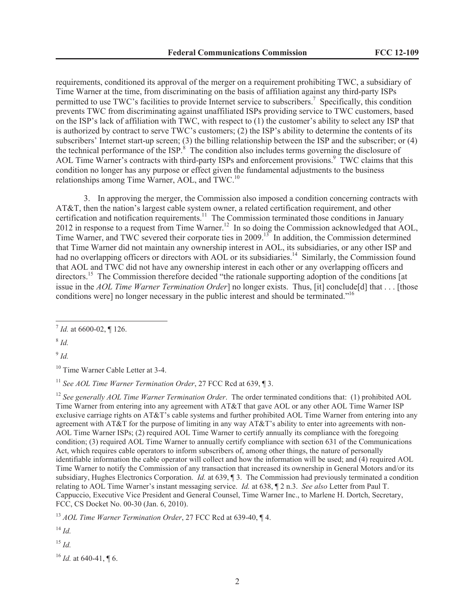requirements, conditioned its approval of the merger on a requirement prohibiting TWC, a subsidiary of Time Warner at the time, from discriminating on the basis of affiliation against any third-party ISPs permitted to use TWC's facilities to provide Internet service to subscribers.<sup>7</sup> Specifically, this condition prevents TWC from discriminating against unaffiliated ISPs providing service to TWC customers, based on the ISP's lack of affiliation with TWC, with respect to (1) the customer's ability to select any ISP that is authorized by contract to serve TWC's customers; (2) the ISP's ability to determine the contents of its subscribers' Internet start-up screen; (3) the billing relationship between the ISP and the subscriber; or (4) the technical performance of the ISP.<sup>8</sup> The condition also includes terms governing the disclosure of AOL Time Warner's contracts with third-party ISPs and enforcement provisions.<sup>9</sup> TWC claims that this condition no longer has any purpose or effect given the fundamental adjustments to the business relationships among Time Warner, AOL, and TWC.<sup>10</sup>

3. In approving the merger, the Commission also imposed a condition concerning contracts with AT&T, then the nation's largest cable system owner, a related certification requirement, and other ertification and notification requirements.<sup>11</sup> The Commission terminated those conditions in January 2012 in response to a request from Time Warner.<sup>12</sup> In so doing the Commission acknowledged that AOL, Time Warner, and TWC severed their corporate ties in 2009.<sup>13</sup> In addition, the Commission determined that Time Warner did not maintain any ownership interest in AOL, its subsidiaries, or any other ISP and had no overlapping officers or directors with AOL or its subsidiaries.<sup>14</sup> Similarly, the Commission found that AOL and TWC did not have any ownership interest in each other or any overlapping officers and directors.<sup>15</sup> The Commission therefore decided "the rationale supporting adoption of the conditions [at issue in the *AOL Time Warner Termination Order*] no longer exists. Thus, [it] conclude[d] that . . . [those conditions were] no longer necessary in the public interest and should be terminated."<sup>16</sup>

8 *Id.*

9 *Id.*

<sup>11</sup> See AOL Time Warner Termination Order, 27 FCC Rcd at 639, ¶ 3.

<sup>12</sup> See generally AOL Time Warner Termination Order. The order terminated conditions that: (1) prohibited AOL Time Warner from entering into any agreement with AT&T that gave AOL or any other AOL Time Warner ISP exclusive carriage rights on AT&T's cable systems and further prohibited AOL Time Warner from entering into any agreement with AT&T for the purpose of limiting in any way AT&T's ability to enter into agreements with non-AOL Time Warner ISPs; (2) required AOL Time Warner to certify annually its compliance with the foregoing condition; (3) required AOL Time Warner to annually certify compliance with section 631 of the Communications Act, which requires cable operators to inform subscribers of, among other things, the nature of personally identifiable information the cable operator will collect and how the information will be used; and (4) required AOL Time Warner to notify the Commission of any transaction that increased its ownership in General Motors and/or its subsidiary, Hughes Electronics Corporation. *Id.* at 639, ¶ 3. The Commission had previously terminated a condition relating to AOL Time Warner's instant messaging service. *Id.* at 638, ¶ 2 n.3. *See also* Letter from Paul T. Cappuccio, Executive Vice President and General Counsel, Time Warner Inc., to Marlene H. Dortch, Secretary, FCC, CS Docket No. 00-30 (Jan. 6, 2010).

<sup>13</sup> *AOL Time Warner Termination Order*, 27 FCC Rcd at 639-40, ¶ 4.

 $^{14}$  *Id.* 

<sup>15</sup> *Id.*

<sup>16</sup> *Id.* at 640-41, ¶ 6.

<sup>7</sup> *Id.* at 6600-02, ¶ 126.

<sup>&</sup>lt;sup>10</sup> Time Warner Cable Letter at 3-4.